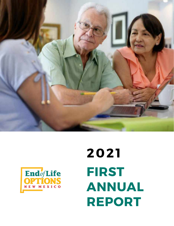



# **FIRST ANNUAL REPORT 2021**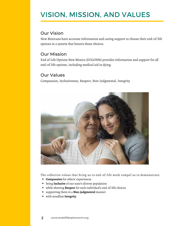### VISION, MISSION, AND VALUES

#### Our Vision

New Mexicans have accurate information and caring support to choose their end-of-life options in a system that honors those choices.

#### Our Mission

End of Life Options New Mexico (EOLONM) provides information and support for all end-of-life options, including medical aid in dying.

#### Our Values

Compassion, Inclusiveness, Respect, Non-Judgmental, Integrity



The collective values that bring us to end-of-life work compel us to demonstrate:

- **Compassion** for others' experiences
- being **Inclusive** of our state's diverse population
- while showing **Respect** for each individual's end-of-life choices
- supporting them in a **Non-judgmental** manner
- with steadfast **Integrity**.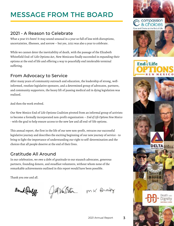### MESSAGE FROM THE BOARD

#### 2021 - A Reason to Celebrate

What a year it's been! It may sound unusual in a year so full of loss with disruptions, uncertainties, illnesses, and sorrow – but yes, 2021 was also a year to celebrate.

While we cannot deter the inevitability of death, with the passage of the Elizabeth Whitefield End-of-Life Options Act, New Mexicans finally succeeded in expanding their options at the end of life and offering a way to peacefully end intolerable terminal suffering.

#### From Advocacy to Service

After many years of community outreach and education, the leadership of strong, wellinformed, resolute legislative sponsors, and a determined group of advocates, partners, and community supporters, the heavy lift of passing medical aid in dying legislation was realized.

And then the work evolved.

Our New Mexico End of Life Options Coalition pivoted from an informal group of activists to become a formally incorporated non-profit organization – *End of Life Options New Mexico* - with the goal to help ensure access to the new law and all end-of-life options.

This annual report, the first in the life of our new non-profit, retraces our successful legislative journey and describes the exciting beginning of our new journey of service - to bring to light the importance of understanding our right to self-determination and the choices that all people deserve at the end of their lives.

#### Gratitude All Around

In our celebration, we owe a debt of gratitude to our staunch advocates, generous partners, founding donors, and steadfast volunteers, without whom none of the remarkable achievements outlined in this report would have been possible.

Thank you one and all.

Bank Wolff

Gill Ven Oster mk Brady







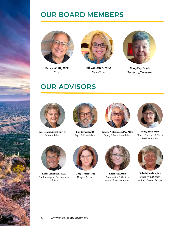### OUR BOARD MEMBERS



**Barak Wolff, MPH** Chair



**Jill VonOsten, MBA** Vice-Chair



**MaryKay Brady** Secretary/Treasurer

### OUR ADVISORS





**Rep. Debbie Armstrong, JD** Senior Advisor



**Rob Schwartz, JD** Legal Policy Advisor



**Revathi A-Davidson, MA, MPH** Equity & Inclusion Advisor



**Nancy Abell, MSW** Clinical Outreach & Client Services Advisor



**Randi Lowenthal, MBA** Fundraising and Development Advisor



**Libby Hopkins, RN** Hospice Advisor



**Elizabeth Armijo** Compassion & Choices National Partner Advisor



**Valerie Lovelace, MS** Death With Dignity National Partner Advisor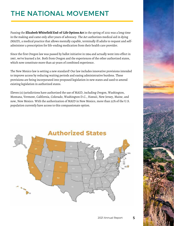### THE NATIONAL MOVEMENT

Passing the **Elizabeth Whitefield End-of-Life Options Act** in the spring of 2021 was a long time in the making and came only after years of advocacy. The Act authorizes medical aid in dying (MAID), a medical practice that allows mentally capable, terminally ill adults to request and selfadminister a prescription for life-ending medication from their health care provider.

Since the first Oregon law was passed by ballot initiative in 1994 and actually went into effect in 1997, we've learned a lot. Both from Oregon and the experiences of the other authorized states, which now constitute more than 40 years of combined experience.

The New Mexico law is setting a new standard! Our law includes innovative provisions intended to improve access by reducing waiting periods and easing administrative burdens. These provisions are being incorporated into proposed legislation in new states and used to amend existing legislation in authorized states.

Eleven (11) jurisdictions have authorized the use of MAID, including Oregon, Washington, Montana, Vermont, California, Colorado, Washington D.C., Hawaii, New Jersey, Maine, and now, New Mexico. With the authorization of MAID in New Mexico, more than 22% of the U.S. population currently have access to this compassionate option.

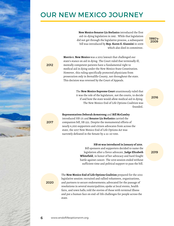### OUR NEW MEXICO JOURNEY

**New Mexico Senator Liz Stefanics** introduced the first aid-in-dying legislation in 1995 . While that legislation did not get through the legislative process, a subsequent bill was introduced by **Rep. Karen E. Giannini** in 2009 which also died in committee.

1990's-2009

**Morris v. New Mexico** was a 2012 lawsuit that challenged our state's stance on aid in dying. The Court ruled that terminally ill, mentally competent patients have a fundamental right to medical aid in dying under the New Mexico State Constitution. However, this ruling specifically protected physicians from prosecution only in Bernalillo County, not throughout the state. This decision was reversed by the Court of Appeals.

> The **New Mexico Supreme Court** unanimously ruled that it was the role of the legislature, not the courts, to decide if and how the state would allow medical aid in dying. The New Mexico End of Life Options Coalition was founded.

**Representatives Deborah Armstrong** and **Bill McCamley**

introduced HB 171 and **Senator Liz Stefanics** carried the companion bill, SB 252. Despite the monumental efforts of nearly 6,000 supporters and citizen advocates from across the state, the 2017 New Mexico End of Life Options Act was narrowly defeated in the Senate by a 22-20 vote.

> **HB 90 was introduced in January of 2019.** Bill sponsors and supporters decided to name the legislation after a fierce advocate, **Judge Elizabeth Whitefield**, in honor of her advocacy and hard fought battle against cancer. The 2019 session ended without sufficient time and political support to pass the bill.

2016

2019

2020

The **New Mexico End of Life Options Coalition** prepared for the 2021 legislative session: recruited and rallied volunteers, organizations, and partners to secure endorsements; advocated for the passage of resolutions in several municipalities; spoke at local events, health fairs, and town halls; told the stories of those with terminal illness and put a human face on end-of-life challenges for people across the state.

2012

2017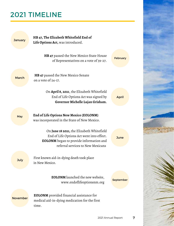### 2021 TIMELINE

| <b>January</b>  | HB 47, The Elizabeth Whitefield End of<br>Life Options Act, was introduced.                                                                                                   |                 |  |
|-----------------|-------------------------------------------------------------------------------------------------------------------------------------------------------------------------------|-----------------|--|
|                 | HB 47 passed the New Mexico State House<br>of Representatives on a vote of 39-27.                                                                                             | <b>February</b> |  |
| <b>March</b>    | <b>HB 47</b> passed the New Mexico Senate<br>on a vote of 24-17.                                                                                                              |                 |  |
|                 | On April 8, 2021, the Elizabeth Whitefield<br>End of Life Options Act was signed by<br>Governor Michelle Lujan Grisham.                                                       | <b>April</b>    |  |
| May             | End of Life Options New Mexico (EOLONM)<br>was incorporated in the State of New Mexico.                                                                                       |                 |  |
|                 | On June 18 2021, the Elizabeth Whitefield<br>End of Life Options Act went into effect.<br><b>EOLONM</b> began to provide information and<br>referral services to New Mexicans | <b>June</b>     |  |
| July            | First known aid-in-dying death took place<br>in New Mexico.                                                                                                                   |                 |  |
|                 | <b>EOLONM</b> launched the new website,<br>www.endoflifeoptionsnm.org                                                                                                         | September       |  |
| <b>November</b> | <b>EOLONM</b> provided financial assistance for<br>medical aid-in-dying medication for the first<br>time.                                                                     |                 |  |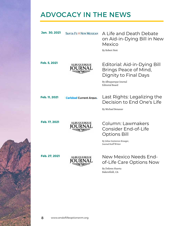### ADVOCACY IN THE NEWS

| Jan. 30, 2021 | <b>SANTA FE &amp; NEW MEXICAN</b> | A Life and Death Debate<br>on Aid-in-Dying Bill in New<br>Mexico<br>By Robert Nott                                          |
|---------------|-----------------------------------|-----------------------------------------------------------------------------------------------------------------------------|
| Feb. 5, 2021  | <b>ALBUQUERQUE</b>                | Editorial: Aid-in-Dying Bill<br>Brings Peace of Mind,<br>Dignity to Final Days<br>By Albuquerque Journal<br>Editorial Board |
| Feb. 11, 2021 | <b>Carlsbad Current Argus.</b>    | Last Rights: Legalizing the<br>Decision to End One's Life<br>By Michael Benanav                                             |
| Feb. 17, 2021 | <b>ALBUQUERQUE</b>                | Column: Lawmakers<br>Consider End-of-Life<br>Options Bill<br>By Joline Guitierrez Krueger,<br>Journal Staff Writer          |
| Feb. 27, 2021 | <b>ALBUQUERQUE</b>                | New Mexico Needs End-<br>of-Life Care Options Now<br>By Dolores Huerta<br>Bakersfield, CA                                   |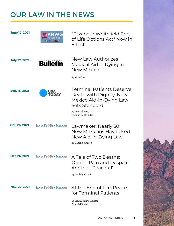### OUR LAW IN THE NEWS

| <b>June 17, 2021</b> | <b>BS npr</b>                     | "Elizabeth Whitefield End-<br>of Life Options Act" Now in<br><b>Fffect</b>                                                                         |  |
|----------------------|-----------------------------------|----------------------------------------------------------------------------------------------------------------------------------------------------|--|
| <b>July 22, 2021</b> | <b>Bulletin</b>                   | New Law Authorizes<br>Medical Aid in Dying in<br>New Mexico<br>By Mike Cook                                                                        |  |
| Sep. 18, 2021        | USA<br><b>TODAY</b>               | <b>Terminal Patients Deserve</b><br>Death with Dignity. New<br>Mexico Aid-in-Dying Law<br>Sets Standard<br>by Kim Callinan,<br>Opinion Contributor |  |
| Oct. 26, 2021        | <b>SANTA FE &amp; NEW MEXICAN</b> | Lawmaker: Nearly 30<br><b>New Mexicans Have Used</b><br>New Aid-in-Dying Law<br>By Daniel J. Chacón                                                |  |
| Oct. 26, 2021        | <b>SANTA FE &amp; NEW MEXICAN</b> | A Tale of Two Deaths:<br>One in 'Pain and Despair,'<br>Another 'Peaceful'<br>By Daniel J. Chacón                                                   |  |
| <b>Nov. 22, 2021</b> | <b>SANTA FE &amp; NEW MEXICAN</b> | At the End of Life, Peace<br>for Terminal Patients<br>By Santa Fe New Mexican<br>Editorial Board                                                   |  |

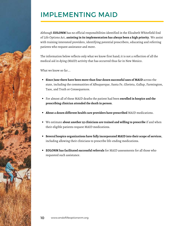### IMPLEMENTING MAID

Although **EOLONM** has no official responsibilities identified in the Elizabeth Whitefield End of Life Options Act, **assisting in its implementation has always been a high priority**. We assist with training interested providers, identifying potential prescribers, educating and referring patients who request assistance and more.

The information below reflects only what we know first hand; it is not a reflection of all the medical aid in dying (MAID) activity that has occurred thus far in New Mexico.

What we know so far...

- **Since June there have been more than four dozen successful uses of MAID** across the state, including the communities of Albuquerque, Santa Fe, Glorieta, Gallup, Farmington, Taos, and Truth or Consequences.
- For almost all of these MAID deaths the patient had been **enrolled in hospice and the prescribing clinician attended the death in person**.
- **About a dozen different health care providers have prescribed** MAID medications.
- We estimate **about another 25 clinicians are trained and willing to prescribe** if and when their eligible patients request MAID medications.
- **Several hospice organizations have fully incorporated MAID into their scope of services**, including allowing their clinicians to prescribe life-ending medications.
- **EOLONM has facilitated successful referrals** for MAID assessments for all those who requested such assistance.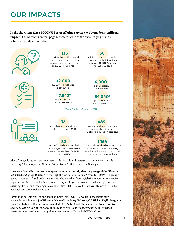### OUR IMPACTS

#### **In the short time since EOLONM began offering services, we've made a significant impact.** The numbers on this page represent some of the encouraging results achieved in only six months.





#### **136** individuals and their loved ones received information, support, and resources from an EOLONM volunteer.

**>2,000** EOLONM brochures distributed

**7,542\*** unique visitors to EOLONM website

*\*from October - December 2021*

#### **36**

clinicians received timely responses to their inquiries made via EOLONM's phone line (505-393-1321)

> **4,000+** e-mail listserv subscribers

**54,040\*** page views on EOLONM website



**12** hospitals received outreach on EOLONM and MAID

**32** of the 71 Medicare certified hospice agencies in New Mexico received outreach on EOLONM and MAID

**489** clinicians and healthcare staff were reached through 12 clinical education sessions

#### **1,164**

individuals received education on end-of-life options, including medical aid in dying through 16 community presentations

**Also of note,** educational sessions were made virtually and in person to audiences statewide, including Albuquerque, Las Cruces, Raton, Santa Fe, Silver City, and Springer.

**How were "we" able to get services up and running so quickly after the passage of the** *Elizabeth Whitefield End-of-Life Options Act***?** Through the incredible efforts of "Team EOLONM" – a group of about 30 committed and tireless volunteers who morphed from legislative advocates into service superheroes. Serving on the Board, as advisors, leading committee work, educating, directly assisting clients, and reaching into communities, EOLONM could not have attained this level of outreach and service without them.

Beyond the notable work of our Board and Advisors, EOLONM would like to specifically acknowledge volunteers **Jan Wilson**, **Adrienne Dare**, **Mary McLaren**, **C.J. Hickle**, **Phyllis Bergman**, **Lucy Fox**, **Judith Brillman**, **Hunter Marshall**, **Bee Zollo**, **Carol Glassheim**, and **Poem Swentzall**. In addition, **Meggin Lorino**, our Account Executive with Delta Management Group, provided masterful coordination managing the control center for Team EOLONM's efforts.



11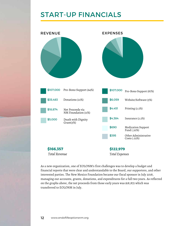### START-UP FINANCIALS



As a new organization, one of EOLONM's first challenges was to develop a budget and financial reports that were clear and understandable to the Board, our supporters, and other interested parties. The New Mexico Foundation became our fiscal sponsor in July 2018, managing our accounts, grants, donations, and expenditures for a full two years. As reflected on the graphs above, the net proceeds from those early years was \$18,875 which was transferred to EOLONM in July.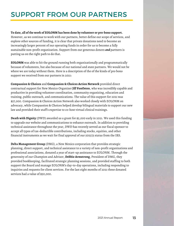### SUPPORT FROM OUR PARTNERS

**To date, all of the work of EOLONM has been done by volunteer or pro-bono support.** However, as we continue to work with our partners, better define our scope of services, and explore other sources of funding, it is clear that private donations need to become an increasingly larger percent of our operating funds in order for us to become a fully sustainable non-profit organization. Support from our generous donors *and* partners is putting us on the right path to do that.

**EOLONM** was able to hit the ground running both organizationally and programmatically because of volunteers, but also because of our national and state partners. We would not be where we are today without them. Here is a description of the of the kinds of pro bono support we received from our partners in 2021:

**Compassion & Choices** and **Compassion & Choices Action Network** provided direct contractual support for New Mexico Organizer **Jill VonOsten**, who was incredibly capable and productive in providing volunteer coordination, community organizing, education and training, public outreach, and communications. The value of this support for 2021 was \$57,000. Compassion & Choices Action Network also worked closely with EOLONM on advocacy, while Compassion & Choices helped develop bilingual materials to support our new law and provided their staff's expertise to co-host virtual clinical trainings.

**Death with Dignity** (DWD) awarded us a grant for \$5,000 early in 2021. We used this funding to upgrade our website and communications to enhance outreach. In addition to providing technical assistance throughout the year, DWD has recently served as our fiscal sponsor to accept all types of tax-deductible contributions, including stocks, equities, and other financial instruments as we wait for final approval of our 501(c)3 status from the IRS.

**Delta Management Group** (DMG), a New Mexico corporation that provides strategic planning, direct support, and technical assistance to a variety of non-profit organizations and professional associations, donated a year of start-up assistance to EOLONM. Through the generosity of our Champion and Advisor, **Debbie Armstrong**, President of DMG, they provided bookkeeping, facilitated strategic planning sessions, and provided staffing to both support the Board and manage EOLONM's day-to-day operations, including responding to inquiries and requests for client services. For the last eight months of 2021 these donated services had a value of \$50,000.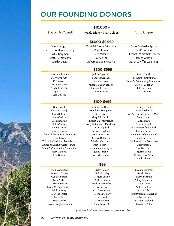### OUR FOUNDING DONORS

#### $$10,000 +$

Stephen McConnell

Jarratt Applewhite MaryKay Brady K. Cheevers Adrienne Dare Trylla Esherick Lynn Gary Lara Goitein

Nancy Abell Elizabeth Armijo Elizabeth Baxter Anna Carlisle Carleen Cirillo Billie Clinton Wendy Cohen Susan Conway Glenn Dickter & Lynn McKelvey Linda Eitzen El Castillo Residents Foundation Haines and Nancy Gaffner Fund, Santa Fe Community Foundation Mary Ganapol Joan Gibson

Ronald Rinker & Jay Geiger Joann Ruppert

Frank & Martha Spring Paul Thorne & Elizabeth Whitefield Thorne Janice Wilson Barak Wolff & Leah Popp

#### \$1,000-\$9,999

Marcia Angell Rep. Deborah Armstrong Phyllis Bergman Revathi A-Davidson Martha Davis

Daniel & Susan Friedman Keith Julian Carin Milburn Eleanor Palk Robert & Jane Schwartz

#### \$500-\$999

Judith Kilpatrick Randi Lowenthal Mary McLaren Michael & Patsy Nelson Melanie Reitmeyer Doris Sanchez

Velma Smith Rabinowe Family Fund, Santa Fe Community Foundation Carol V. Vaughan Jill VonOsten Jane Wishner

#### \$100-\$499

Victoria M. Grass Henderson Graphics B.G. Hosie Gary & Jo Jacobs Robert & Beverly Jones Norty & Summers Kalishman Gayle Langford Barbara Leighton Donald Massey Richard D. Mastin Elizabeth Martinez Patricia Meyer Amanda Mondragon Joan Murphy Eric Ockerhausen

#### $<$  \$99

Cristy Holden Molly Langley Meggin Lorino Rochelle Mann Michael McCaffery Eric Metzler Charlotte Minter Deanna Mooney Jan Novak Carole Owens Anne Petrokubi

#### Jeffery S. Pine Lorraine Schwartz Lou Ann Garner & Paul J. Malin Donna Seifert Linda Siegle Lorraine Smith in memory of Hal Smith Janelda Hogan in memory of Janet Smith Linda Sprague Jim Platt & Jana Svobodova Bert Umland Joan Weissman Norma Tapia Dr. Carolina Yahne Linda Zinner

Susanne Pinkham David Rose Norva Saltman Ashley Sanderson Janet Simon Andrea Sullivan Marke Talley First Unitarian Church of Albuquerque Prashant Ziskind Elizabeth Zollo

*\*If we have missed or misspelled yourname, pleaselet us know.*



Paula Getz Teri Hackler Patrick Joseph Hoffman

Amina Ahaddad Veronika Barnes Cynthia Barber Leah Becker Diane Bessette Irving M. Don Dietz III Michael Foley Marlene Foster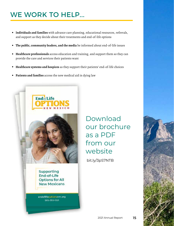### WE WORK TO HELP...

- **Individuals and families** with advance care planning, educational resources, referrals, and support as they decide about their treatments and end-of-life options
- $\bullet$ **The public, community leaders, and the media** be informed about end-of-life issues
- **Healthcare professionals** access education and training, and support them so they can provide the care and services their patients want
- **Healthcare systems and hospices** as they support their patients' end-of-life choices  $\bullet$
- **Patients and families** access the new medical aid in dying law



[Down](https://endoflifeoptionsnm.org/wp-content/uploads/2021/08/EOLONM-brochure-web.pdf)load our brochure as a PDF from our website

bit.ly/3pS7NTB